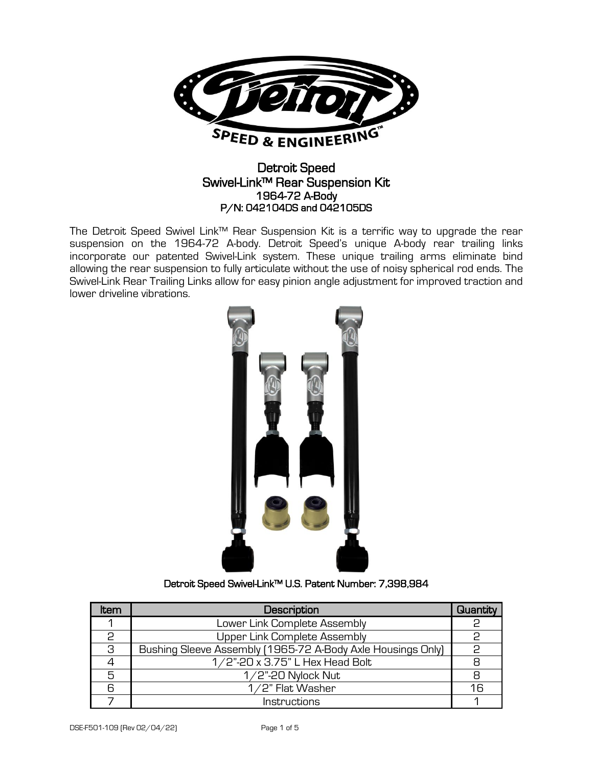

## Detroit Speed Swivel-Link™ Rear Suspension Kit 1964-72 A-Body P/N: 042104DS and 042105DS

The Detroit Speed Swivel Link™ Rear Suspension Kit is a terrific way to upgrade the rear suspension on the 1964-72 A-body. Detroit Speed's unique A-body rear trailing links incorporate our patented Swivel-Link system. These unique trailing arms eliminate bind allowing the rear suspension to fully articulate without the use of noisy spherical rod ends. The Swivel-Link Rear Trailing Links allow for easy pinion angle adjustment for improved traction and lower driveline vibrations.



## Detroit Speed Swivel-Link™ U.S. Patent Number: 7,398,984

| ltem | Description                                                 | Quantity |
|------|-------------------------------------------------------------|----------|
|      | Lower Link Complete Assembly                                |          |
|      | Upper Link Complete Assembly                                |          |
| 3    | Bushing Sleeve Assembly (1965-72 A-Body Axle Housings Only) | င္       |
|      | 1/2"-20 x 3.75" L Hex Head Bolt                             | 8        |
| 5    | $1/2$ "-20 Nylock Nut                                       | 8        |
|      | 1/2" Flat Washer                                            | 16       |
|      | Instructions                                                |          |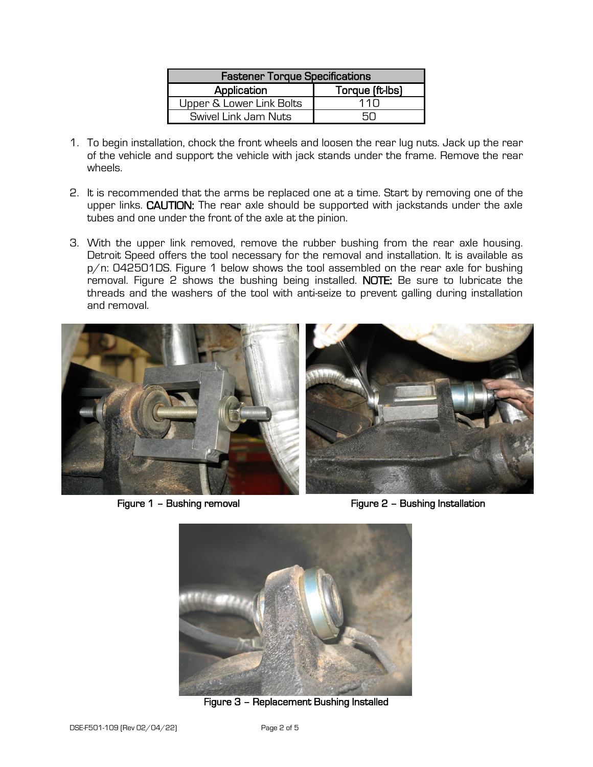| <b>Fastener Torque Specifications</b> |                 |  |  |
|---------------------------------------|-----------------|--|--|
| Application                           | Torque (ft-lbs) |  |  |
| Upper & Lower Link Bolts              | 11 N            |  |  |
| Swivel Link Jam Nuts                  |                 |  |  |

- 1. To begin installation, chock the front wheels and loosen the rear lug nuts. Jack up the rear of the vehicle and support the vehicle with jack stands under the frame. Remove the rear wheels.
- 2. It is recommended that the arms be replaced one at a time. Start by removing one of the upper links. CAUTION: The rear axle should be supported with jackstands under the axle tubes and one under the front of the axle at the pinion.
- 3. With the upper link removed, remove the rubber bushing from the rear axle housing. Detroit Speed offers the tool necessary for the removal and installation. It is available as p/n: 042501DS. Figure 1 below shows the tool assembled on the rear axle for bushing removal. Figure 2 shows the bushing being installed. NOTE: Be sure to lubricate the threads and the washers of the tool with anti-seize to prevent galling during installation and removal.



Figure 1 – Bushing removal **Figure 2** – Bushing Installation



Figure 3 – Replacement Bushing Installed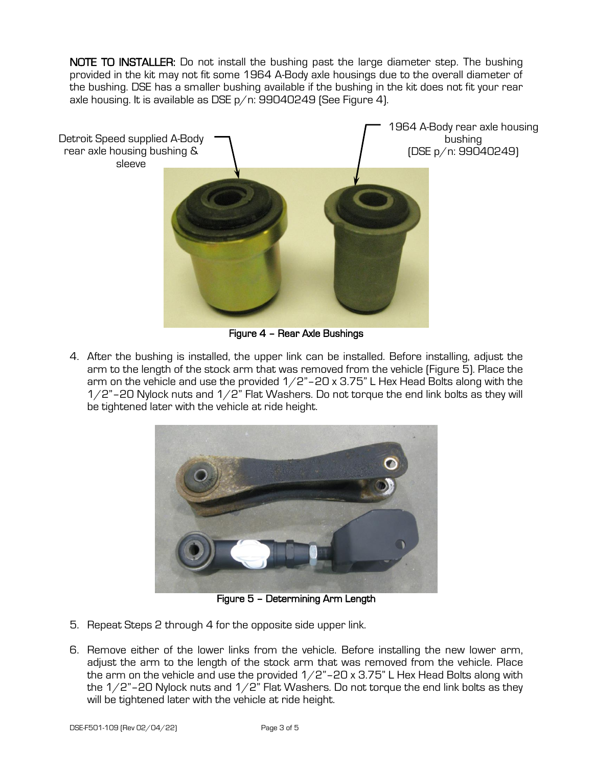NOTE TO INSTALLER: Do not install the bushing past the large diameter step. The bushing provided in the kit may not fit some 1964 A-Body axle housings due to the overall diameter of the bushing. DSE has a smaller bushing available if the bushing in the kit does not fit your rear axle housing. It is available as DSE p/n: 99040249 (See Figure 4).



Figure 4 – Rear Axle Bushings

4. After the bushing is installed, the upper link can be installed. Before installing, adjust the arm to the length of the stock arm that was removed from the vehicle (Figure 5). Place the arm on the vehicle and use the provided  $1/2$ "-20 x 3.75" L Hex Head Bolts along with the  $1/2$ "-20 Nylock nuts and  $1/2$ " Flat Washers. Do not torque the end link bolts as they will be tightened later with the vehicle at ride height.



Figure 5 – Determining Arm Length

- 5. Repeat Steps 2 through 4 for the opposite side upper link.
- 6. Remove either of the lower links from the vehicle. Before installing the new lower arm, adjust the arm to the length of the stock arm that was removed from the vehicle. Place the arm on the vehicle and use the provided  $1/2$ "-20 x 3.75" L Hex Head Bolts along with the  $1/2$ "–20 Nylock nuts and  $1/2$ " Flat Washers. Do not torque the end link bolts as they will be tightened later with the vehicle at ride height.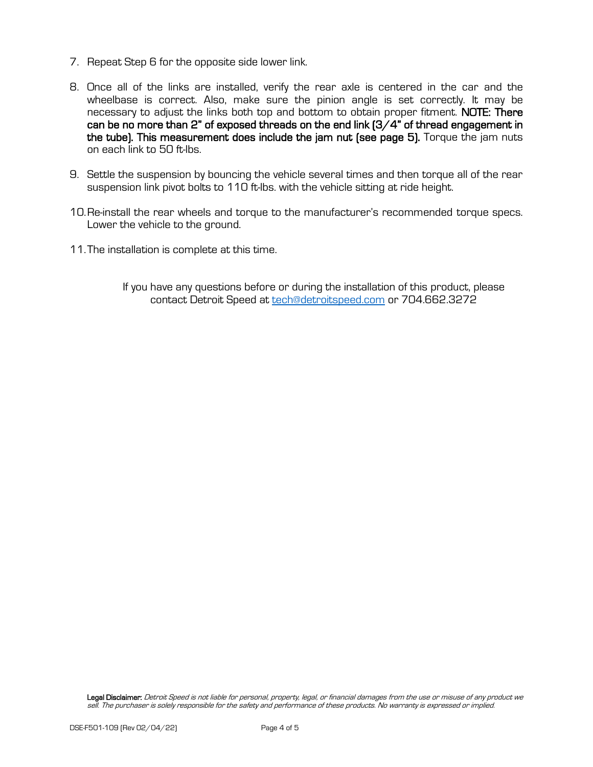- 7. Repeat Step 6 for the opposite side lower link.
- 8. Once all of the links are installed, verify the rear axle is centered in the car and the wheelbase is correct. Also, make sure the pinion angle is set correctly. It may be necessary to adjust the links both top and bottom to obtain proper fitment. NOTE: There can be no more than 2" of exposed threads on the end link (3/4" of thread engagement in the tube). This measurement does include the jam nut (see page 5). Torque the jam nuts on each link to 50 ft-lbs.
- 9. Settle the suspension by bouncing the vehicle several times and then torque all of the rear suspension link pivot bolts to 110 ft-lbs. with the vehicle sitting at ride height.
- 10.Re-install the rear wheels and torque to the manufacturer's recommended torque specs. Lower the vehicle to the ground.
- 11.The installation is complete at this time.
	- If you have any questions before or during the installation of this product, please contact Detroit Speed at [tech@detroitspeed.com](mailto:tech@detroitspeed.com) or 704.662.3272

Legal Disclaimer: Detroit Speed is not liable for personal, property, legal, or financial damages from the use or misuse of any product we sell. The purchaser is solely responsible for the safety and performance of these products. No warranty is expressed or implied.